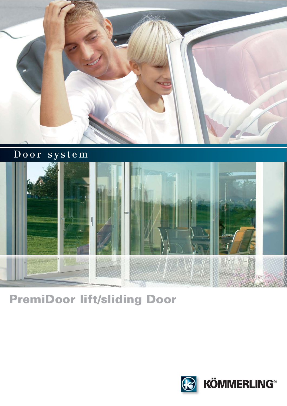

Door system



PremiDoor lift/sliding Door